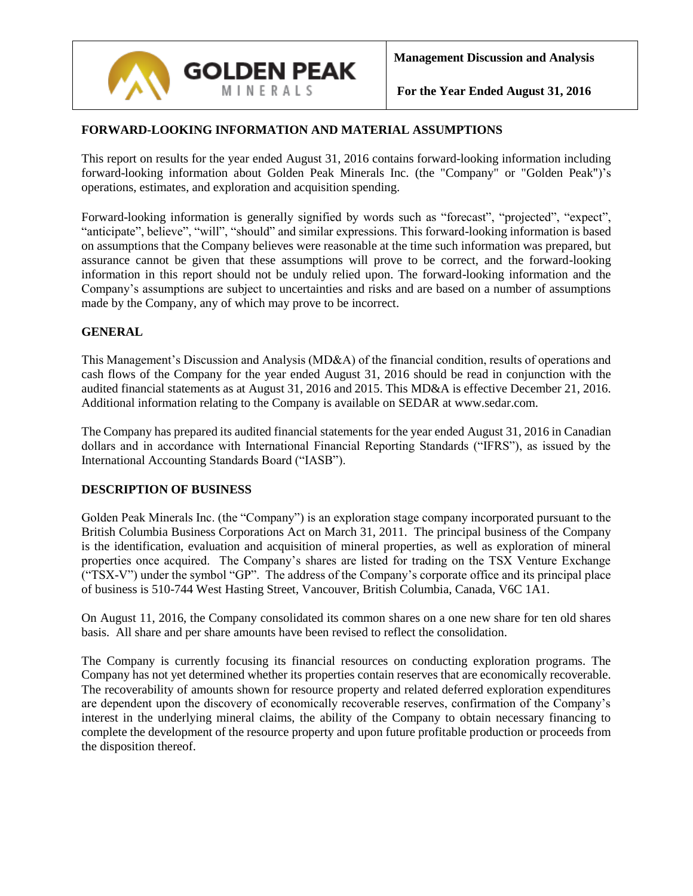

# **FORWARD-LOOKING INFORMATION AND MATERIAL ASSUMPTIONS**

This report on results for the year ended August 31, 2016 contains forward-looking information including forward-looking information about Golden Peak Minerals Inc. (the "Company" or "Golden Peak")'s operations, estimates, and exploration and acquisition spending.

Forward-looking information is generally signified by words such as "forecast", "projected", "expect", "anticipate", believe", "will", "should" and similar expressions. This forward-looking information is based on assumptions that the Company believes were reasonable at the time such information was prepared, but assurance cannot be given that these assumptions will prove to be correct, and the forward-looking information in this report should not be unduly relied upon. The forward-looking information and the Company's assumptions are subject to uncertainties and risks and are based on a number of assumptions made by the Company, any of which may prove to be incorrect.

# **GENERAL**

This Management's Discussion and Analysis (MD&A) of the financial condition, results of operations and cash flows of the Company for the year ended August 31, 2016 should be read in conjunction with the audited financial statements as at August 31, 2016 and 2015. This MD&A is effective December 21, 2016. Additional information relating to the Company is available on SEDAR at www.sedar.com.

The Company has prepared its audited financial statements for the year ended August 31, 2016 in Canadian dollars and in accordance with International Financial Reporting Standards ("IFRS"), as issued by the International Accounting Standards Board ("IASB").

### **DESCRIPTION OF BUSINESS**

Golden Peak Minerals Inc. (the "Company") is an exploration stage company incorporated pursuant to the British Columbia Business Corporations Act on March 31, 2011. The principal business of the Company is the identification, evaluation and acquisition of mineral properties, as well as exploration of mineral properties once acquired. The Company's shares are listed for trading on the TSX Venture Exchange ("TSX-V") under the symbol "GP". The address of the Company's corporate office and its principal place of business is 510-744 West Hasting Street, Vancouver, British Columbia, Canada, V6C 1A1.

On August 11, 2016, the Company consolidated its common shares on a one new share for ten old shares basis. All share and per share amounts have been revised to reflect the consolidation.

The Company is currently focusing its financial resources on conducting exploration programs. The Company has not yet determined whether its properties contain reserves that are economically recoverable. The recoverability of amounts shown for resource property and related deferred exploration expenditures are dependent upon the discovery of economically recoverable reserves, confirmation of the Company's interest in the underlying mineral claims, the ability of the Company to obtain necessary financing to complete the development of the resource property and upon future profitable production or proceeds from the disposition thereof.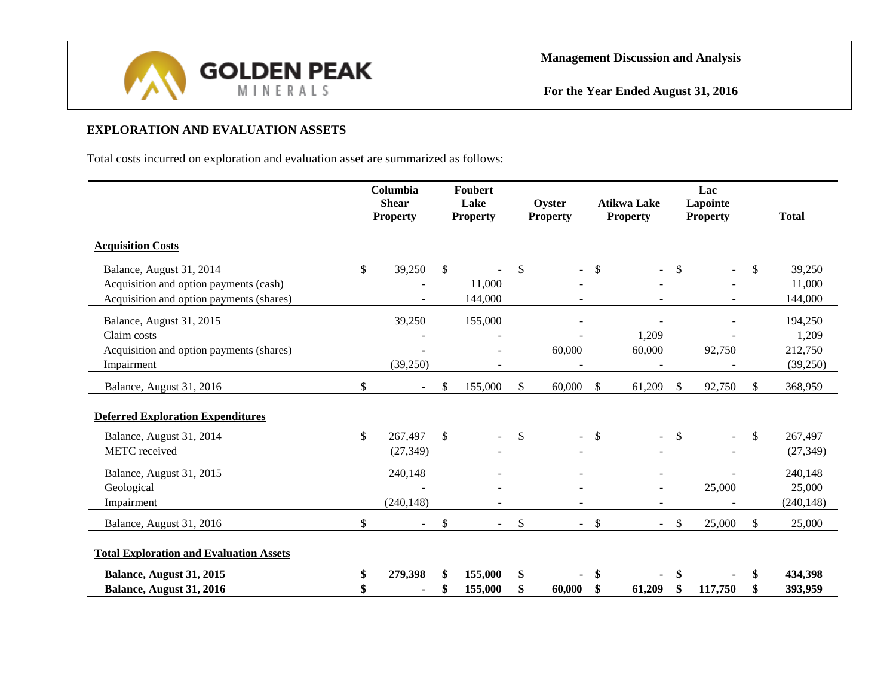

# **EXPLORATION AND EVALUATION ASSETS**

Total costs incurred on exploration and evaluation asset are summarized as follows:

|                                                |              | Columbia<br><b>Shear</b><br><b>Property</b> |               | <b>Foubert</b><br>Lake<br><b>Property</b> |               | Oyster<br><b>Property</b> |               | <b>Atikwa Lake</b><br><b>Property</b> |                           | Lac<br>Lapointe<br><b>Property</b> |     | <b>Total</b> |
|------------------------------------------------|--------------|---------------------------------------------|---------------|-------------------------------------------|---------------|---------------------------|---------------|---------------------------------------|---------------------------|------------------------------------|-----|--------------|
| <b>Acquisition Costs</b>                       |              |                                             |               |                                           |               |                           |               |                                       |                           |                                    |     |              |
| Balance, August 31, 2014                       | $\mathbb{S}$ | 39,250                                      | \$            |                                           | $\mathcal{S}$ |                           | $\mathbb{S}$  | ÷                                     | $\mathbb{S}$              | $\blacksquare$                     | \$  | 39,250       |
| Acquisition and option payments (cash)         |              |                                             |               | 11,000                                    |               |                           |               |                                       |                           |                                    |     | 11,000       |
| Acquisition and option payments (shares)       |              |                                             |               | 144,000                                   |               |                           |               |                                       |                           |                                    |     | 144,000      |
| Balance, August 31, 2015                       |              | 39,250                                      |               | 155,000                                   |               |                           |               |                                       |                           |                                    |     | 194,250      |
| Claim costs                                    |              |                                             |               |                                           |               |                           |               | 1,209                                 |                           |                                    |     | 1,209        |
| Acquisition and option payments (shares)       |              |                                             |               | $\blacksquare$                            |               | 60,000                    |               | 60,000                                |                           | 92,750                             |     | 212,750      |
| Impairment                                     |              | (39,250)                                    |               |                                           |               |                           |               |                                       |                           |                                    |     | (39,250)     |
| Balance, August 31, 2016                       | \$           |                                             | <sup>\$</sup> | 155,000                                   | \$            | 60,000                    | \$            | 61,209                                | \$.                       | 92,750                             | £.  | 368,959      |
| <b>Deferred Exploration Expenditures</b>       |              |                                             |               |                                           |               |                           |               |                                       |                           |                                    |     |              |
| Balance, August 31, 2014                       | \$           | 267,497                                     | $\mathbb{S}$  |                                           | <sup>\$</sup> | $\blacksquare$            | $\mathcal{S}$ | $\blacksquare$                        | <sup>\$</sup>             |                                    | \$  | 267,497      |
| <b>METC</b> received                           |              | (27, 349)                                   |               |                                           |               | $\overline{\phantom{a}}$  |               | $\overline{\phantom{a}}$              |                           |                                    |     | (27, 349)    |
| Balance, August 31, 2015                       |              | 240,148                                     |               |                                           |               |                           |               | ÷                                     |                           |                                    |     | 240,148      |
| Geological                                     |              |                                             |               |                                           |               |                           |               |                                       |                           | 25,000                             |     | 25,000       |
| Impairment                                     |              | (240, 148)                                  |               |                                           |               |                           |               |                                       |                           |                                    |     | (240, 148)   |
| Balance, August 31, 2016                       | \$           |                                             | \$            | $\overline{a}$                            | \$            | $\blacksquare$            | $\mathcal{S}$ | $\blacksquare$                        | $\boldsymbol{\mathsf{S}}$ | 25,000                             | \$. | 25,000       |
| <b>Total Exploration and Evaluation Assets</b> |              |                                             |               |                                           |               |                           |               |                                       |                           |                                    |     |              |
| Balance, August 31, 2015                       | \$           | 279,398                                     |               | 155,000                                   | \$            |                           | \$            | ٠                                     | \$                        |                                    | S   | 434,398      |
| Balance, August 31, 2016                       |              |                                             |               | 155,000                                   |               | 60,000                    | \$            | 61,209                                | \$.                       | 117,750                            |     | 393,959      |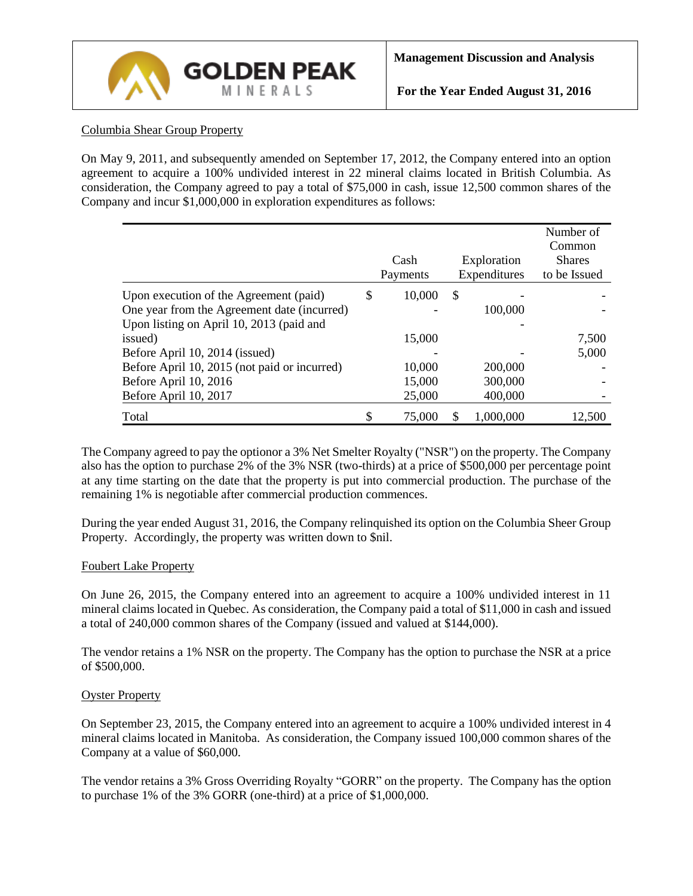

## Columbia Shear Group Property

On May 9, 2011, and subsequently amended on September 17, 2012, the Company entered into an option agreement to acquire a 100% undivided interest in 22 mineral claims located in British Columbia. As consideration, the Company agreed to pay a total of \$75,000 in cash, issue 12,500 common shares of the Company and incur \$1,000,000 in exploration expenditures as follows:

|                                              | Cash         |               | Exploration  | Number of<br>Common<br><b>Shares</b> |
|----------------------------------------------|--------------|---------------|--------------|--------------------------------------|
|                                              | Payments     |               | Expenditures | to be Issued                         |
| Upon execution of the Agreement (paid)       | \$<br>10,000 | $\mathcal{S}$ |              |                                      |
| One year from the Agreement date (incurred)  |              |               | 100,000      |                                      |
| Upon listing on April 10, 2013 (paid and     |              |               |              |                                      |
| issued)                                      | 15,000       |               |              | 7,500                                |
| Before April 10, 2014 (issued)               |              |               |              | 5,000                                |
| Before April 10, 2015 (not paid or incurred) | 10,000       |               | 200,000      |                                      |
| Before April 10, 2016                        | 15,000       |               | 300,000      |                                      |
| Before April 10, 2017                        | 25,000       |               | 400,000      |                                      |
| Total                                        | \$<br>75,000 |               | 1,000,000    | 12.500                               |

The Company agreed to pay the optionor a 3% Net Smelter Royalty ("NSR") on the property. The Company also has the option to purchase 2% of the 3% NSR (two-thirds) at a price of \$500,000 per percentage point at any time starting on the date that the property is put into commercial production. The purchase of the remaining 1% is negotiable after commercial production commences.

During the year ended August 31, 2016, the Company relinquished its option on the Columbia Sheer Group Property. Accordingly, the property was written down to \$nil.

### Foubert Lake Property

On June 26, 2015, the Company entered into an agreement to acquire a 100% undivided interest in 11 mineral claims located in Quebec. As consideration, the Company paid a total of \$11,000 in cash and issued a total of 240,000 common shares of the Company (issued and valued at \$144,000).

The vendor retains a 1% NSR on the property. The Company has the option to purchase the NSR at a price of \$500,000.

### Oyster Property

On September 23, 2015, the Company entered into an agreement to acquire a 100% undivided interest in 4 mineral claims located in Manitoba. As consideration, the Company issued 100,000 common shares of the Company at a value of \$60,000.

The vendor retains a 3% Gross Overriding Royalty "GORR" on the property. The Company has the option to purchase 1% of the 3% GORR (one-third) at a price of \$1,000,000.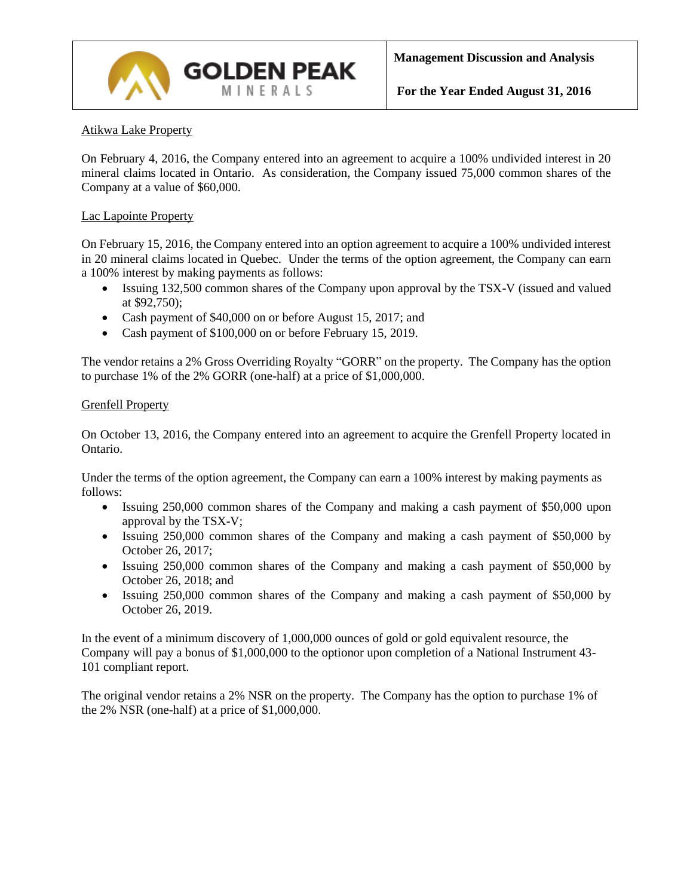

## Atikwa Lake Property

On February 4, 2016, the Company entered into an agreement to acquire a 100% undivided interest in 20 mineral claims located in Ontario. As consideration, the Company issued 75,000 common shares of the Company at a value of \$60,000.

## Lac Lapointe Property

On February 15, 2016, the Company entered into an option agreement to acquire a 100% undivided interest in 20 mineral claims located in Quebec. Under the terms of the option agreement, the Company can earn a 100% interest by making payments as follows:

- Issuing 132,500 common shares of the Company upon approval by the TSX-V (issued and valued at \$92,750);
- Cash payment of \$40,000 on or before August 15, 2017; and
- Cash payment of \$100,000 on or before February 15, 2019.

The vendor retains a 2% Gross Overriding Royalty "GORR" on the property. The Company has the option to purchase 1% of the 2% GORR (one-half) at a price of \$1,000,000.

### Grenfell Property

On October 13, 2016, the Company entered into an agreement to acquire the Grenfell Property located in Ontario.

Under the terms of the option agreement, the Company can earn a 100% interest by making payments as follows:

- Issuing 250,000 common shares of the Company and making a cash payment of \$50,000 upon approval by the TSX-V;
- Issuing 250,000 common shares of the Company and making a cash payment of \$50,000 by October 26, 2017;
- Issuing 250,000 common shares of the Company and making a cash payment of \$50,000 by October 26, 2018; and
- Issuing 250,000 common shares of the Company and making a cash payment of \$50,000 by October 26, 2019.

In the event of a minimum discovery of 1,000,000 ounces of gold or gold equivalent resource, the Company will pay a bonus of \$1,000,000 to the optionor upon completion of a National Instrument 43- 101 compliant report.

The original vendor retains a 2% NSR on the property. The Company has the option to purchase 1% of the 2% NSR (one-half) at a price of \$1,000,000.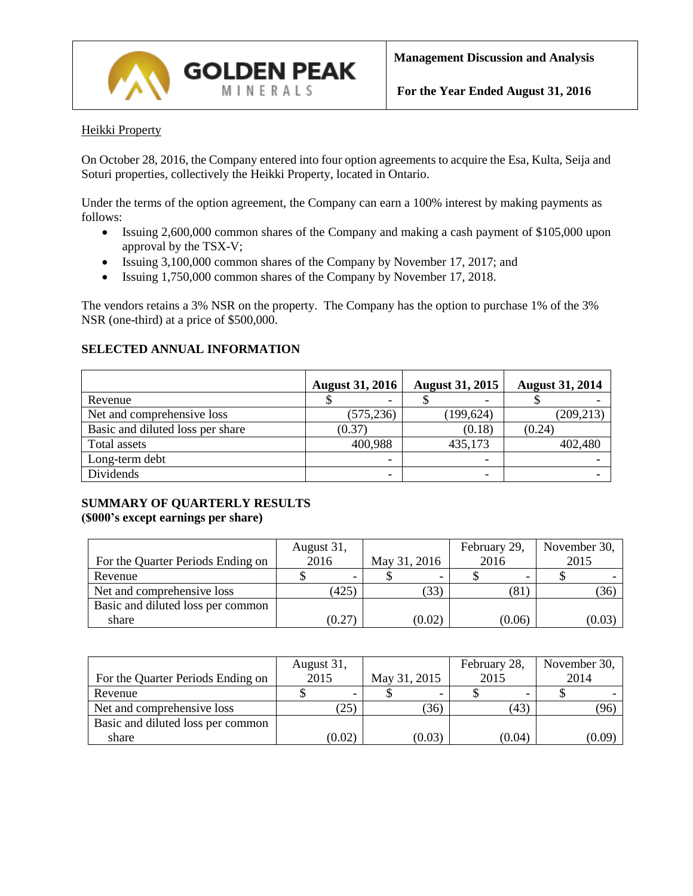

## Heikki Property

On October 28, 2016, the Company entered into four option agreements to acquire the Esa, Kulta, Seija and Soturi properties, collectively the Heikki Property, located in Ontario.

Under the terms of the option agreement, the Company can earn a 100% interest by making payments as follows:

- Issuing 2,600,000 common shares of the Company and making a cash payment of \$105,000 upon approval by the TSX-V;
- Issuing 3,100,000 common shares of the Company by November 17, 2017; and
- Issuing 1,750,000 common shares of the Company by November 17, 2018.

**GOLDEN PEAK** MINERALS

The vendors retains a 3% NSR on the property. The Company has the option to purchase 1% of the 3% NSR (one-third) at a price of \$500,000.

# **SELECTED ANNUAL INFORMATION**

|                                  | <b>August 31, 2016</b>   | <b>August 31, 2015</b> | <b>August 31, 2014</b> |
|----------------------------------|--------------------------|------------------------|------------------------|
| Revenue                          | $\overline{\phantom{0}}$ | -                      |                        |
| Net and comprehensive loss       | (575, 236)               | (199, 624)             | (209, 213)             |
| Basic and diluted loss per share | (0.37)                   | (0.18)                 | (0.24)                 |
| Total assets                     | 400,988                  | 435,173                | 402,480                |
| Long-term debt                   | ۰                        |                        |                        |
| Dividends                        | -                        |                        |                        |

## **SUMMARY OF QUARTERLY RESULTS (\$000's except earnings per share)**

|                                   | August 31, |              | February 29, | November 30, |
|-----------------------------------|------------|--------------|--------------|--------------|
| For the Quarter Periods Ending on | 2016       | May 31, 2016 | 2016         | 2015         |
| Revenue                           |            |              |              |              |
| Net and comprehensive loss        | (425)      | (33)         | (81)         | (36)         |
| Basic and diluted loss per common |            |              |              |              |
| share                             | (0.27)     | (0.02)       | (0.06)       | (0.03)       |

|                                   | August 31, |              | February 28, | November 30, |
|-----------------------------------|------------|--------------|--------------|--------------|
| For the Quarter Periods Ending on | 2015       | May 31, 2015 | 2015         | 2014         |
| Revenue                           |            |              |              |              |
| Net and comprehensive loss        | (25)       | (36)         | (43)         | (96)         |
| Basic and diluted loss per common |            |              |              |              |
| share                             | (0.02)     | (0.03)       | (0.04)       | (0.09)       |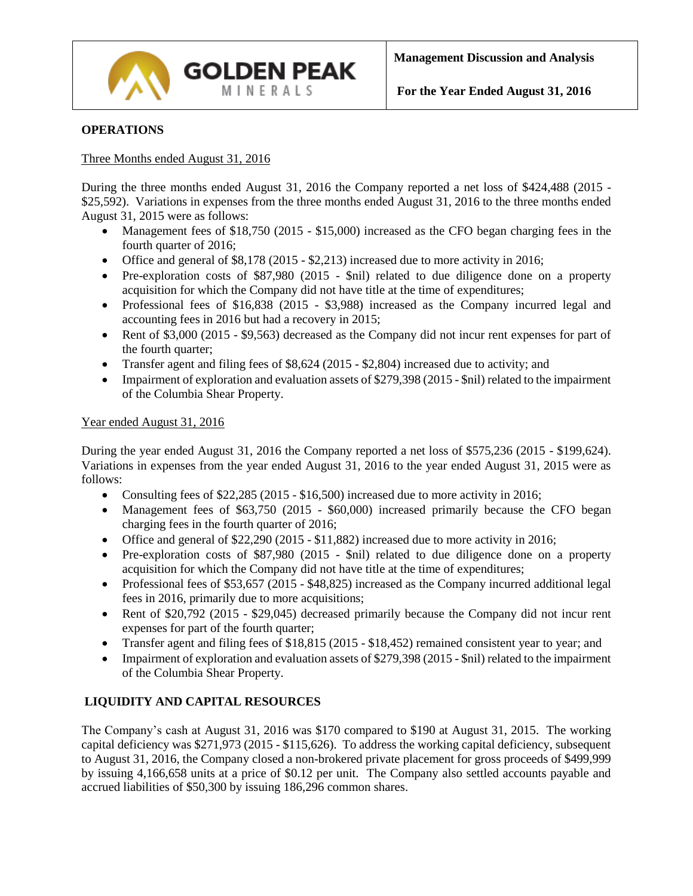

## **OPERATIONS**

### Three Months ended August 31, 2016

During the three months ended August 31, 2016 the Company reported a net loss of \$424,488 (2015 - \$25,592). Variations in expenses from the three months ended August 31, 2016 to the three months ended August 31, 2015 were as follows:

- Management fees of \$18,750 (2015 \$15,000) increased as the CFO began charging fees in the fourth quarter of 2016;
- Office and general of \$8,178 (2015 \$2,213) increased due to more activity in 2016;

**GOLDEN PEAK** MINERALS

- Pre-exploration costs of \$87,980 (2015 \$nil) related to due diligence done on a property acquisition for which the Company did not have title at the time of expenditures;
- Professional fees of \$16,838 (2015 \$3,988) increased as the Company incurred legal and accounting fees in 2016 but had a recovery in 2015;
- Rent of \$3,000 (2015 \$9,563) decreased as the Company did not incur rent expenses for part of the fourth quarter;
- Transfer agent and filing fees of  $$8,624 (2015 $2,804)$  increased due to activity; and
- Impairment of exploration and evaluation assets of \$279,398 (2015 \$nil) related to the impairment of the Columbia Shear Property.

## Year ended August 31, 2016

During the year ended August 31, 2016 the Company reported a net loss of \$575,236 (2015 - \$199,624). Variations in expenses from the year ended August 31, 2016 to the year ended August 31, 2015 were as follows:

- Consulting fees of  $$22,285$  (2015  $$16,500$ ) increased due to more activity in 2016;
- Management fees of \$63,750 (2015 \$60,000) increased primarily because the CFO began charging fees in the fourth quarter of 2016;
- Office and general of \$22,290 (2015 \$11,882) increased due to more activity in 2016;
- Pre-exploration costs of \$87,980 (2015 \$nil) related to due diligence done on a property acquisition for which the Company did not have title at the time of expenditures;
- Professional fees of \$53,657 (2015 \$48,825) increased as the Company incurred additional legal fees in 2016, primarily due to more acquisitions;
- Rent of \$20,792 (2015 \$29,045) decreased primarily because the Company did not incur rent expenses for part of the fourth quarter;
- Transfer agent and filing fees of \$18,815 (2015 \$18,452) remained consistent year to year; and
- Impairment of exploration and evaluation assets of \$279,398 (2015 \$nil) related to the impairment of the Columbia Shear Property.

# **LIQUIDITY AND CAPITAL RESOURCES**

The Company's cash at August 31, 2016 was \$170 compared to \$190 at August 31, 2015. The working capital deficiency was \$271,973 (2015 - \$115,626). To address the working capital deficiency, subsequent to August 31, 2016, the Company closed a non-brokered private placement for gross proceeds of \$499,999 by issuing 4,166,658 units at a price of \$0.12 per unit. The Company also settled accounts payable and accrued liabilities of \$50,300 by issuing 186,296 common shares.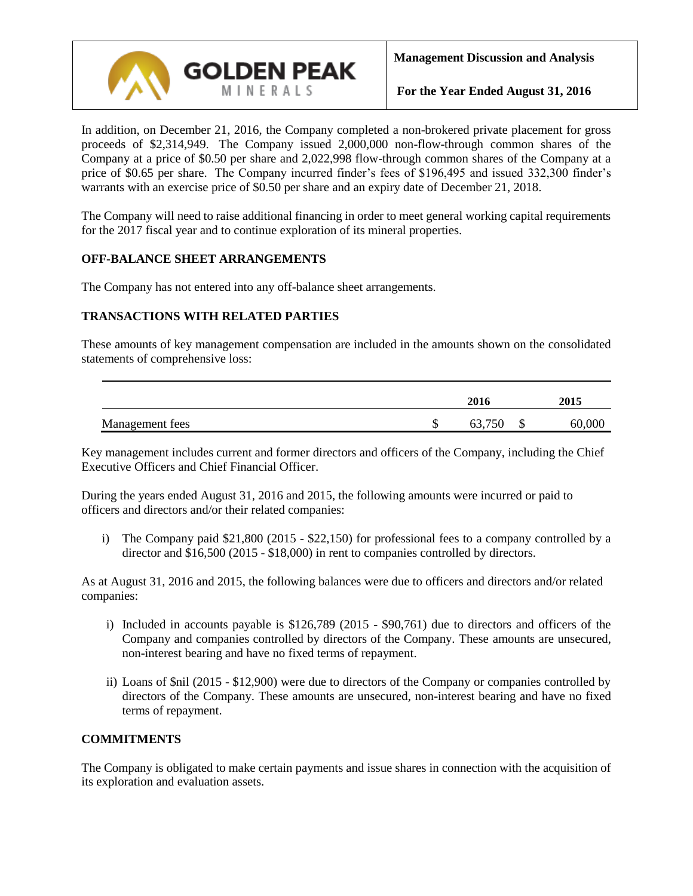

In addition, on December 21, 2016, the Company completed a non-brokered private placement for gross proceeds of \$2,314,949. The Company issued 2,000,000 non-flow-through common shares of the Company at a price of \$0.50 per share and 2,022,998 flow-through common shares of the Company at a price of \$0.65 per share. The Company incurred finder's fees of \$196,495 and issued 332,300 finder's warrants with an exercise price of \$0.50 per share and an expiry date of December 21, 2018.

The Company will need to raise additional financing in order to meet general working capital requirements for the 2017 fiscal year and to continue exploration of its mineral properties.

## **OFF-BALANCE SHEET ARRANGEMENTS**

The Company has not entered into any off-balance sheet arrangements.

## **TRANSACTIONS WITH RELATED PARTIES**

These amounts of key management compensation are included in the amounts shown on the consolidated statements of comprehensive loss:

|                 |    | 2016   | 2015         |
|-----------------|----|--------|--------------|
| Management fees | ιD | 63,750 | \$<br>60,000 |

Key management includes current and former directors and officers of the Company, including the Chief Executive Officers and Chief Financial Officer.

During the years ended August 31, 2016 and 2015, the following amounts were incurred or paid to officers and directors and/or their related companies:

i) The Company paid \$21,800 (2015 - \$22,150) for professional fees to a company controlled by a director and \$16,500 (2015 - \$18,000) in rent to companies controlled by directors.

As at August 31, 2016 and 2015, the following balances were due to officers and directors and/or related companies:

- i) Included in accounts payable is \$126,789 (2015 \$90,761) due to directors and officers of the Company and companies controlled by directors of the Company. These amounts are unsecured, non-interest bearing and have no fixed terms of repayment.
- ii) Loans of \$nil (2015 \$12,900) were due to directors of the Company or companies controlled by directors of the Company. These amounts are unsecured, non-interest bearing and have no fixed terms of repayment.

# **COMMITMENTS**

The Company is obligated to make certain payments and issue shares in connection with the acquisition of its exploration and evaluation assets.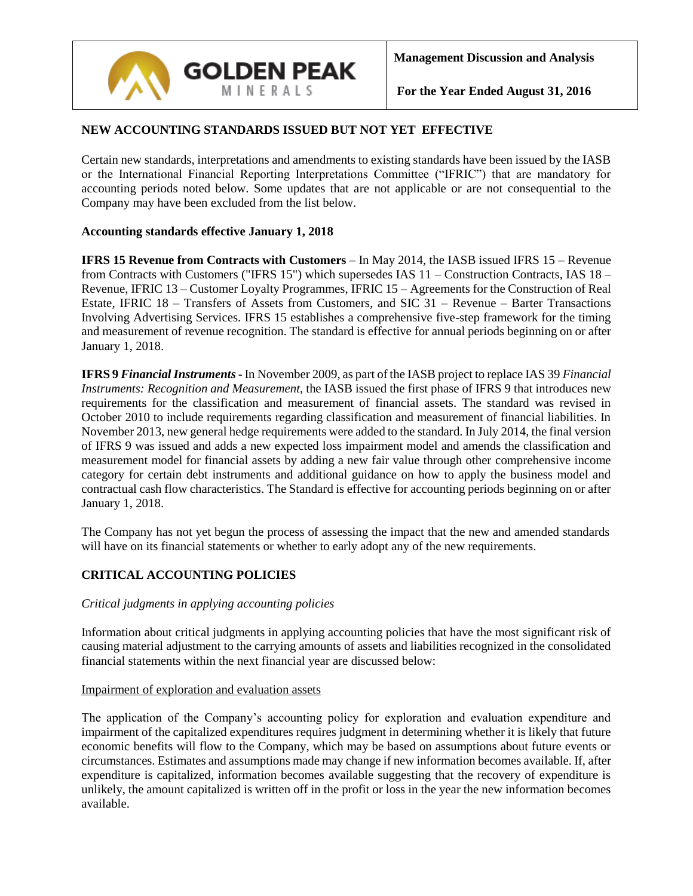

# **NEW ACCOUNTING STANDARDS ISSUED BUT NOT YET EFFECTIVE**

Certain new standards, interpretations and amendments to existing standards have been issued by the IASB or the International Financial Reporting Interpretations Committee ("IFRIC") that are mandatory for accounting periods noted below. Some updates that are not applicable or are not consequential to the Company may have been excluded from the list below.

## **Accounting standards effective January 1, 2018**

**IFRS 15 Revenue from Contracts with Customers** – In May 2014, the IASB issued IFRS 15 – Revenue from Contracts with Customers ("IFRS 15") which supersedes IAS 11 – Construction Contracts, IAS 18 – Revenue, IFRIC 13 – Customer Loyalty Programmes, IFRIC 15 – Agreements for the Construction of Real Estate, IFRIC 18 – Transfers of Assets from Customers, and SIC 31 – Revenue – Barter Transactions Involving Advertising Services. IFRS 15 establishes a comprehensive five-step framework for the timing and measurement of revenue recognition. The standard is effective for annual periods beginning on or after January 1, 2018.

**IFRS 9** *Financial Instruments*- In November 2009, as part of the IASB project to replace IAS 39 *Financial Instruments: Recognition and Measurement*, the IASB issued the first phase of IFRS 9 that introduces new requirements for the classification and measurement of financial assets. The standard was revised in October 2010 to include requirements regarding classification and measurement of financial liabilities. In November 2013, new general hedge requirements were added to the standard. In July 2014, the final version of IFRS 9 was issued and adds a new expected loss impairment model and amends the classification and measurement model for financial assets by adding a new fair value through other comprehensive income category for certain debt instruments and additional guidance on how to apply the business model and contractual cash flow characteristics. The Standard is effective for accounting periods beginning on or after January 1, 2018.

The Company has not yet begun the process of assessing the impact that the new and amended standards will have on its financial statements or whether to early adopt any of the new requirements.

# **CRITICAL ACCOUNTING POLICIES**

### *Critical judgments in applying accounting policies*

Information about critical judgments in applying accounting policies that have the most significant risk of causing material adjustment to the carrying amounts of assets and liabilities recognized in the consolidated financial statements within the next financial year are discussed below:

### Impairment of exploration and evaluation assets

The application of the Company's accounting policy for exploration and evaluation expenditure and impairment of the capitalized expenditures requires judgment in determining whether it is likely that future economic benefits will flow to the Company, which may be based on assumptions about future events or circumstances. Estimates and assumptions made may change if new information becomes available. If, after expenditure is capitalized, information becomes available suggesting that the recovery of expenditure is unlikely, the amount capitalized is written off in the profit or loss in the year the new information becomes available.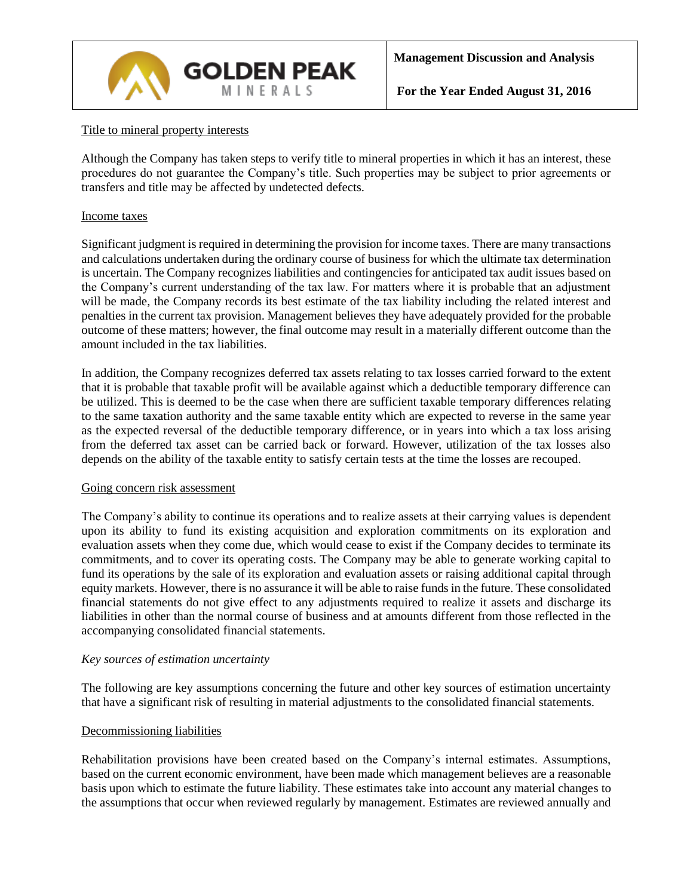

### Title to mineral property interests

Although the Company has taken steps to verify title to mineral properties in which it has an interest, these procedures do not guarantee the Company's title. Such properties may be subject to prior agreements or transfers and title may be affected by undetected defects.

### Income taxes

Significant judgment is required in determining the provision for income taxes. There are many transactions and calculations undertaken during the ordinary course of business for which the ultimate tax determination is uncertain. The Company recognizes liabilities and contingencies for anticipated tax audit issues based on the Company's current understanding of the tax law. For matters where it is probable that an adjustment will be made, the Company records its best estimate of the tax liability including the related interest and penalties in the current tax provision. Management believes they have adequately provided for the probable outcome of these matters; however, the final outcome may result in a materially different outcome than the amount included in the tax liabilities.

In addition, the Company recognizes deferred tax assets relating to tax losses carried forward to the extent that it is probable that taxable profit will be available against which a deductible temporary difference can be utilized. This is deemed to be the case when there are sufficient taxable temporary differences relating to the same taxation authority and the same taxable entity which are expected to reverse in the same year as the expected reversal of the deductible temporary difference, or in years into which a tax loss arising from the deferred tax asset can be carried back or forward. However, utilization of the tax losses also depends on the ability of the taxable entity to satisfy certain tests at the time the losses are recouped.

### Going concern risk assessment

The Company's ability to continue its operations and to realize assets at their carrying values is dependent upon its ability to fund its existing acquisition and exploration commitments on its exploration and evaluation assets when they come due, which would cease to exist if the Company decides to terminate its commitments, and to cover its operating costs. The Company may be able to generate working capital to fund its operations by the sale of its exploration and evaluation assets or raising additional capital through equity markets. However, there is no assurance it will be able to raise funds in the future. These consolidated financial statements do not give effect to any adjustments required to realize it assets and discharge its liabilities in other than the normal course of business and at amounts different from those reflected in the accompanying consolidated financial statements.

### *Key sources of estimation uncertainty*

The following are key assumptions concerning the future and other key sources of estimation uncertainty that have a significant risk of resulting in material adjustments to the consolidated financial statements.

### Decommissioning liabilities

Rehabilitation provisions have been created based on the Company's internal estimates. Assumptions, based on the current economic environment, have been made which management believes are a reasonable basis upon which to estimate the future liability. These estimates take into account any material changes to the assumptions that occur when reviewed regularly by management. Estimates are reviewed annually and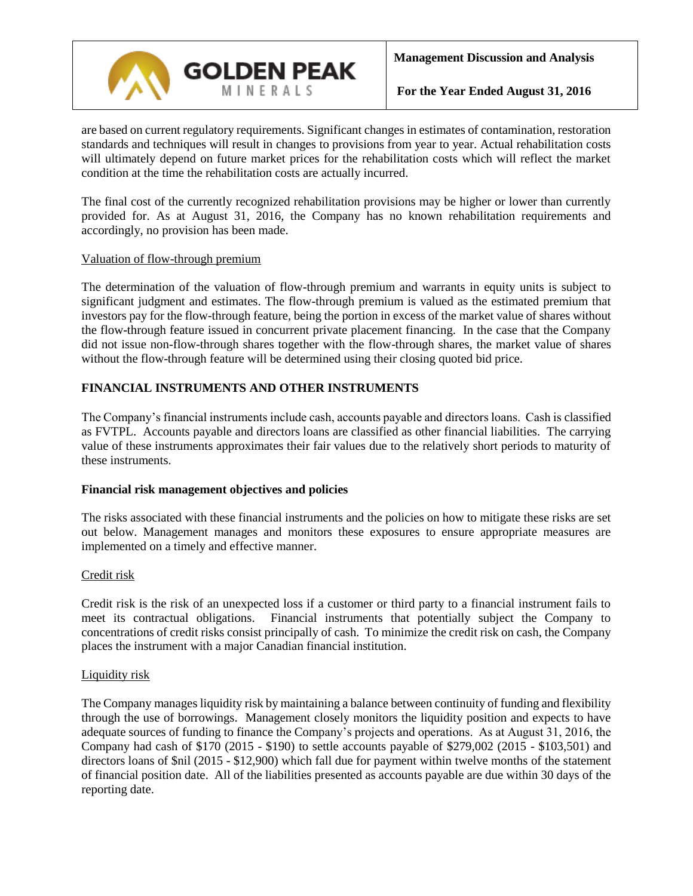

are based on current regulatory requirements. Significant changes in estimates of contamination, restoration standards and techniques will result in changes to provisions from year to year. Actual rehabilitation costs will ultimately depend on future market prices for the rehabilitation costs which will reflect the market condition at the time the rehabilitation costs are actually incurred.

The final cost of the currently recognized rehabilitation provisions may be higher or lower than currently provided for. As at August 31, 2016, the Company has no known rehabilitation requirements and accordingly, no provision has been made.

## Valuation of flow-through premium

The determination of the valuation of flow-through premium and warrants in equity units is subject to significant judgment and estimates. The flow-through premium is valued as the estimated premium that investors pay for the flow-through feature, being the portion in excess of the market value of shares without the flow-through feature issued in concurrent private placement financing. In the case that the Company did not issue non-flow-through shares together with the flow-through shares, the market value of shares without the flow-through feature will be determined using their closing quoted bid price.

# **FINANCIAL INSTRUMENTS AND OTHER INSTRUMENTS**

The Company's financial instruments include cash, accounts payable and directors loans. Cash is classified as FVTPL. Accounts payable and directors loans are classified as other financial liabilities. The carrying value of these instruments approximates their fair values due to the relatively short periods to maturity of these instruments.

### **Financial risk management objectives and policies**

The risks associated with these financial instruments and the policies on how to mitigate these risks are set out below. Management manages and monitors these exposures to ensure appropriate measures are implemented on a timely and effective manner.

### Credit risk

Credit risk is the risk of an unexpected loss if a customer or third party to a financial instrument fails to meet its contractual obligations. Financial instruments that potentially subject the Company to concentrations of credit risks consist principally of cash. To minimize the credit risk on cash, the Company places the instrument with a major Canadian financial institution.

### Liquidity risk

The Company manages liquidity risk by maintaining a balance between continuity of funding and flexibility through the use of borrowings. Management closely monitors the liquidity position and expects to have adequate sources of funding to finance the Company's projects and operations. As at August 31, 2016, the Company had cash of \$170 (2015 - \$190) to settle accounts payable of \$279,002 (2015 - \$103,501) and directors loans of \$nil (2015 - \$12,900) which fall due for payment within twelve months of the statement of financial position date. All of the liabilities presented as accounts payable are due within 30 days of the reporting date.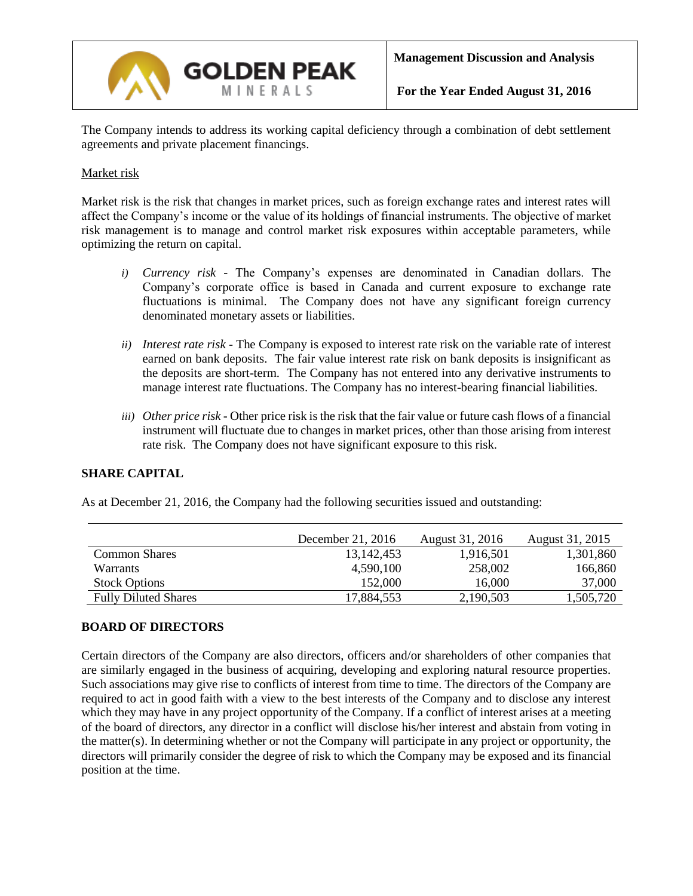

The Company intends to address its working capital deficiency through a combination of debt settlement agreements and private placement financings.

### Market risk

Market risk is the risk that changes in market prices, such as foreign exchange rates and interest rates will affect the Company's income or the value of its holdings of financial instruments. The objective of market risk management is to manage and control market risk exposures within acceptable parameters, while optimizing the return on capital.

- *i) Currency risk -* The Company's expenses are denominated in Canadian dollars. The Company's corporate office is based in Canada and current exposure to exchange rate fluctuations is minimal. The Company does not have any significant foreign currency denominated monetary assets or liabilities.
- *ii) Interest rate risk -* The Company is exposed to interest rate risk on the variable rate of interest earned on bank deposits. The fair value interest rate risk on bank deposits is insignificant as the deposits are short-term. The Company has not entered into any derivative instruments to manage interest rate fluctuations. The Company has no interest-bearing financial liabilities.
- *iii) Other price risk -* Other price risk is the risk that the fair value or future cash flows of a financial instrument will fluctuate due to changes in market prices, other than those arising from interest rate risk. The Company does not have significant exposure to this risk.

# **SHARE CAPITAL**

As at December 21, 2016, the Company had the following securities issued and outstanding:

|                             | December 21, $2016$ | August 31, 2016 | August 31, 2015 |
|-----------------------------|---------------------|-----------------|-----------------|
| <b>Common Shares</b>        | 13, 142, 453        | 1,916,501       | 1,301,860       |
| <b>Warrants</b>             | 4,590,100           | 258,002         | 166,860         |
| <b>Stock Options</b>        | 152,000             | 16,000          | 37,000          |
| <b>Fully Diluted Shares</b> | 17,884,553          | 2,190,503       | 1,505,720       |

# **BOARD OF DIRECTORS**

Certain directors of the Company are also directors, officers and/or shareholders of other companies that are similarly engaged in the business of acquiring, developing and exploring natural resource properties. Such associations may give rise to conflicts of interest from time to time. The directors of the Company are required to act in good faith with a view to the best interests of the Company and to disclose any interest which they may have in any project opportunity of the Company. If a conflict of interest arises at a meeting of the board of directors, any director in a conflict will disclose his/her interest and abstain from voting in the matter(s). In determining whether or not the Company will participate in any project or opportunity, the directors will primarily consider the degree of risk to which the Company may be exposed and its financial position at the time.